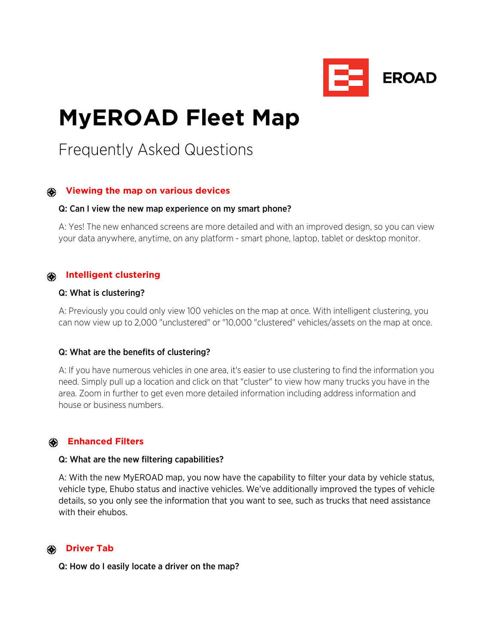

# **MyEROAD Fleet Map**

# Frequently Asked Questions

# **Viewing the map on various devices**

#### Q: Can I view the new map experience on my smart phone?

A: Yes! The new enhanced screens are more detailed and with an improved design, so you can view your data anywhere, anytime, on any platform - smart phone, laptop, tablet or desktop monitor.

# **Intelligent clustering**

### Q: What is clustering?

A: Previously you could only view 100 vehicles on the map at once. With intelligent clustering, you can now view up to 2,000 "unclustered" or "10,000 "clustered" vehicles/assets on the map at once.

#### Q: What are the benefits of clustering?

A: If you have numerous vehicles in one area, it's easier to use clustering to find the information you need. Simply pull up a location and click on that "cluster" to view how many trucks you have in the area. Zoom in further to get even more detailed information including address information and house or business numbers.

#### **Enhanced Filters**

#### Q: What are the new filtering capabilities?

A: With the new MyEROAD map, you now have the capability to filter your data by vehicle status, vehicle type, Ehubo status and inactive vehicles. We've additionally improved the types of vehicle details, so you only see the information that you want to see, such as trucks that need assistance with their ehubos.

#### **Driver Tab**

Q: How do I easily locate a driver on the map?